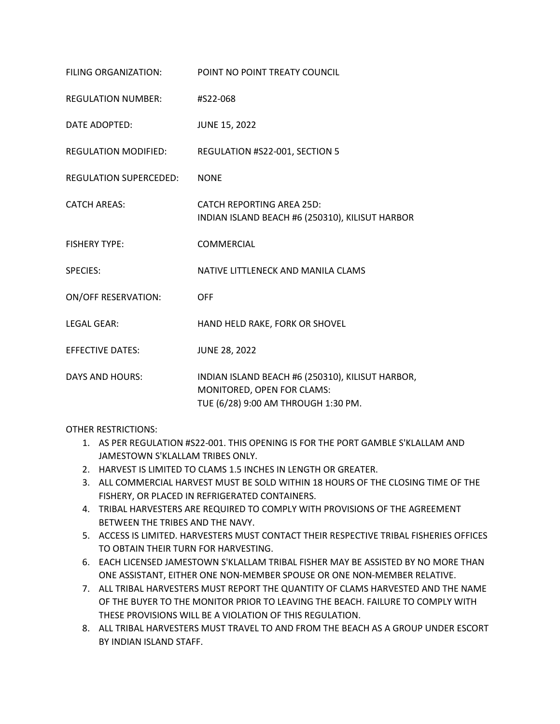| FILING ORGANIZATION:          | POINT NO POINT TREATY COUNCIL                                                                                         |
|-------------------------------|-----------------------------------------------------------------------------------------------------------------------|
| <b>REGULATION NUMBER:</b>     | #S22-068                                                                                                              |
| DATE ADOPTED:                 | <b>JUNE 15, 2022</b>                                                                                                  |
| <b>REGULATION MODIFIED:</b>   | REGULATION #S22-001, SECTION 5                                                                                        |
| <b>REGULATION SUPERCEDED:</b> | <b>NONE</b>                                                                                                           |
| <b>CATCH AREAS:</b>           | <b>CATCH REPORTING AREA 25D:</b><br>INDIAN ISLAND BEACH #6 (250310), KILISUT HARBOR                                   |
| <b>FISHERY TYPE:</b>          | COMMERCIAL                                                                                                            |
| <b>SPECIES:</b>               | NATIVE LITTLENECK AND MANILA CLAMS                                                                                    |
| <b>ON/OFF RESERVATION:</b>    | <b>OFF</b>                                                                                                            |
| <b>LEGAL GEAR:</b>            | HAND HELD RAKE, FORK OR SHOVEL                                                                                        |
| <b>EFFECTIVE DATES:</b>       | <b>JUNE 28, 2022</b>                                                                                                  |
| <b>DAYS AND HOURS:</b>        | INDIAN ISLAND BEACH #6 (250310), KILISUT HARBOR,<br>MONITORED, OPEN FOR CLAMS:<br>TUE (6/28) 9:00 AM THROUGH 1:30 PM. |

OTHER RESTRICTIONS:

- 1. AS PER REGULATION #S22-001. THIS OPENING IS FOR THE PORT GAMBLE S'KLALLAM AND JAMESTOWN S'KLALLAM TRIBES ONLY.
- 2. HARVEST IS LIMITED TO CLAMS 1.5 INCHES IN LENGTH OR GREATER.
- 3. ALL COMMERCIAL HARVEST MUST BE SOLD WITHIN 18 HOURS OF THE CLOSING TIME OF THE FISHERY, OR PLACED IN REFRIGERATED CONTAINERS.
- 4. TRIBAL HARVESTERS ARE REQUIRED TO COMPLY WITH PROVISIONS OF THE AGREEMENT BETWEEN THE TRIBES AND THE NAVY.
- 5. ACCESS IS LIMITED. HARVESTERS MUST CONTACT THEIR RESPECTIVE TRIBAL FISHERIES OFFICES TO OBTAIN THEIR TURN FOR HARVESTING.
- 6. EACH LICENSED JAMESTOWN S'KLALLAM TRIBAL FISHER MAY BE ASSISTED BY NO MORE THAN ONE ASSISTANT, EITHER ONE NON-MEMBER SPOUSE OR ONE NON-MEMBER RELATIVE.
- 7. ALL TRIBAL HARVESTERS MUST REPORT THE QUANTITY OF CLAMS HARVESTED AND THE NAME OF THE BUYER TO THE MONITOR PRIOR TO LEAVING THE BEACH. FAILURE TO COMPLY WITH THESE PROVISIONS WILL BE A VIOLATION OF THIS REGULATION.
- 8. ALL TRIBAL HARVESTERS MUST TRAVEL TO AND FROM THE BEACH AS A GROUP UNDER ESCORT BY INDIAN ISLAND STAFF.